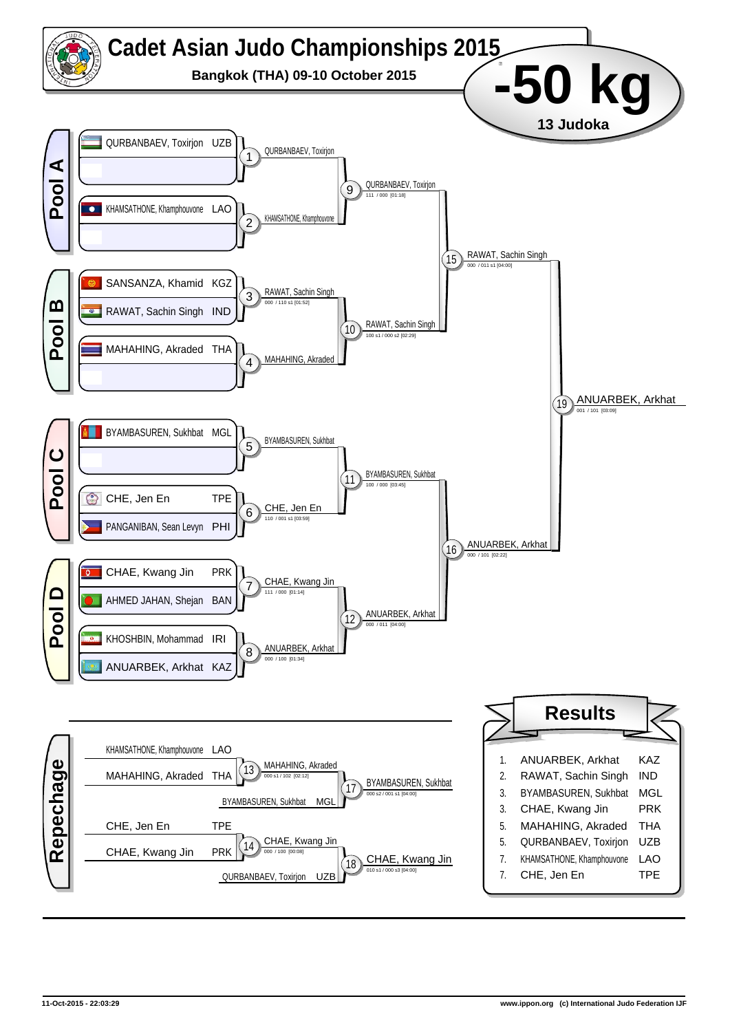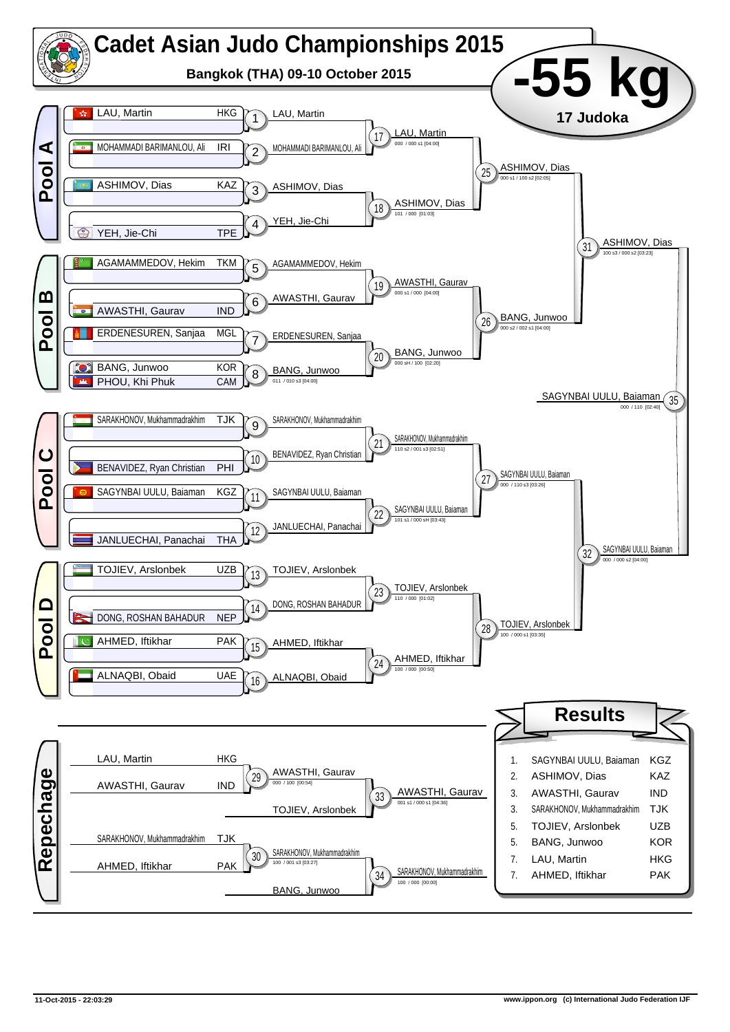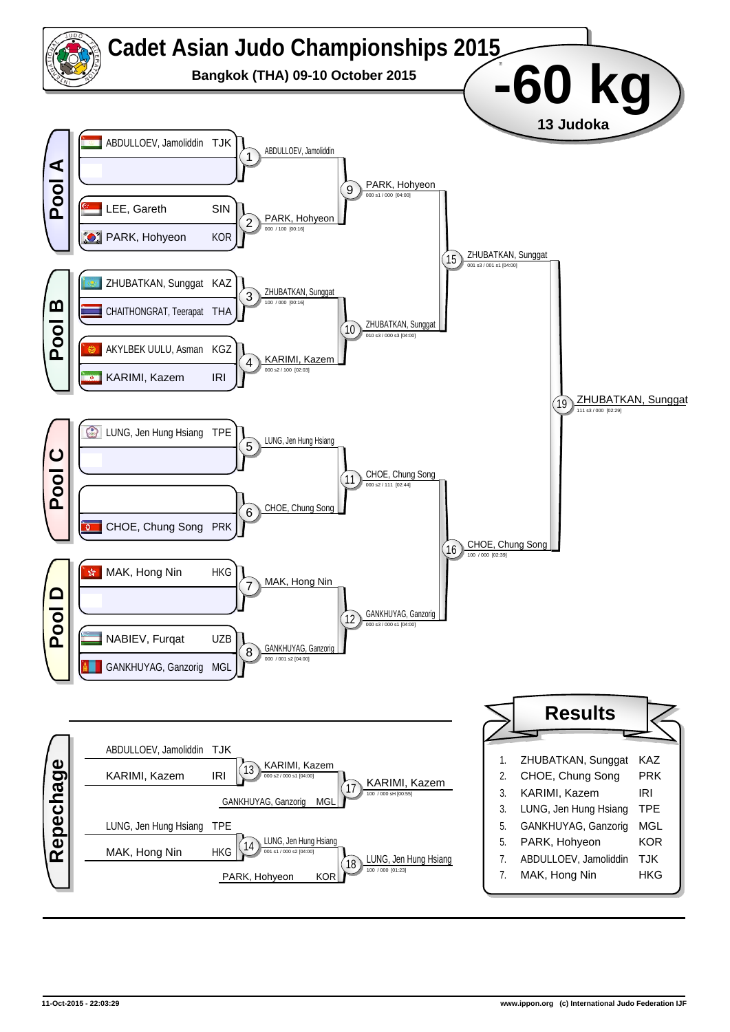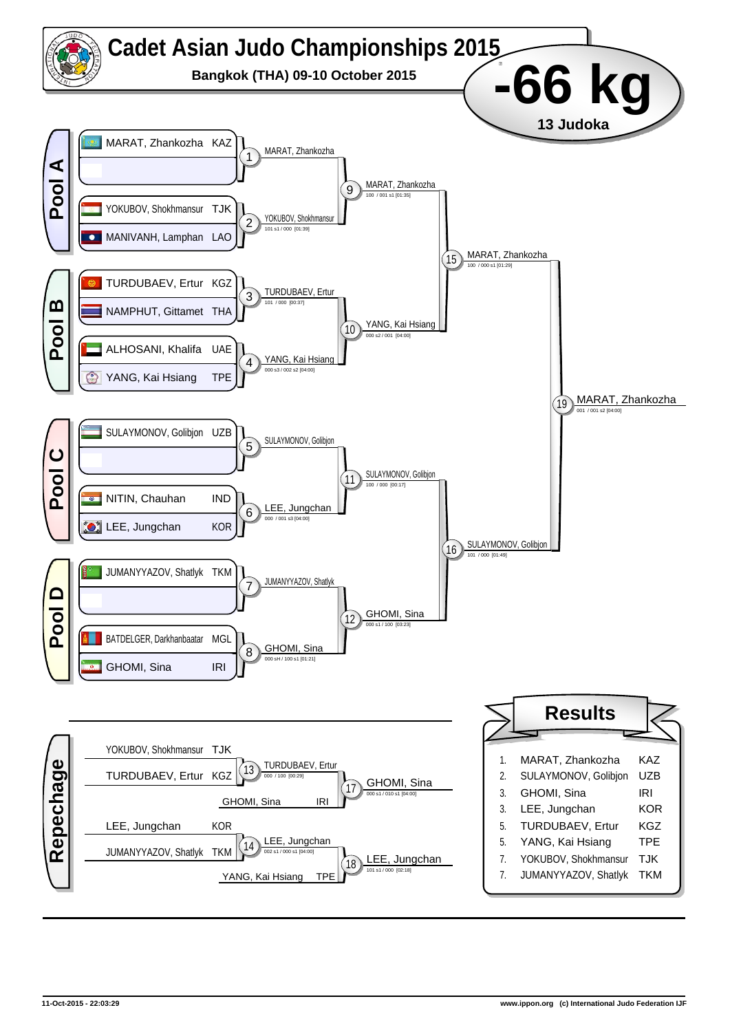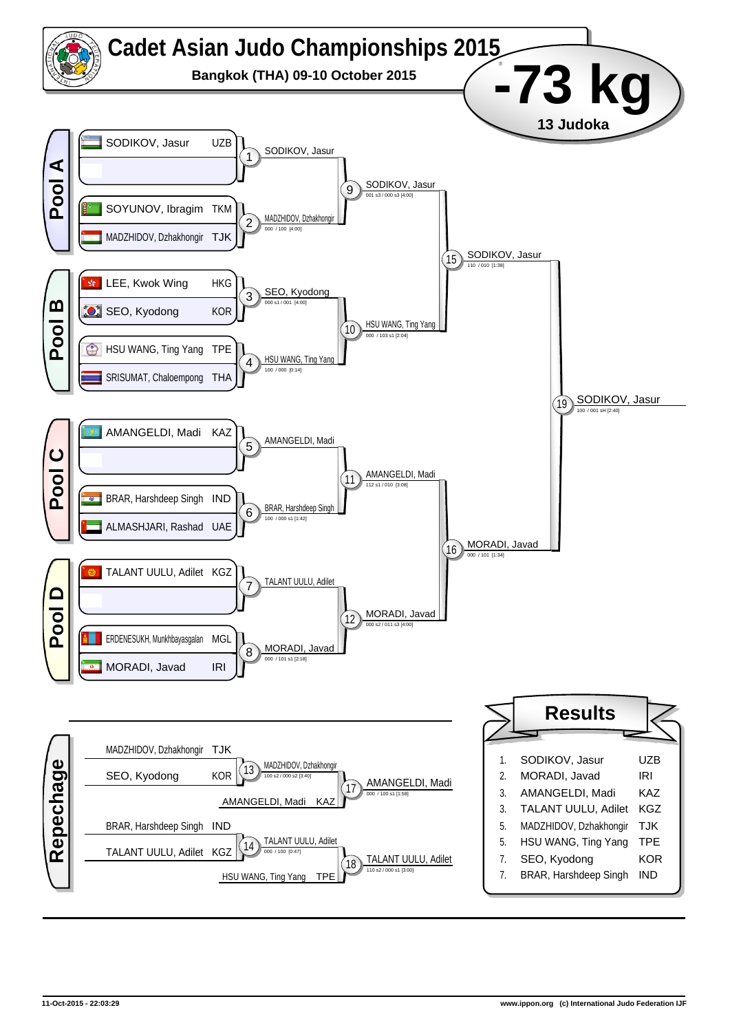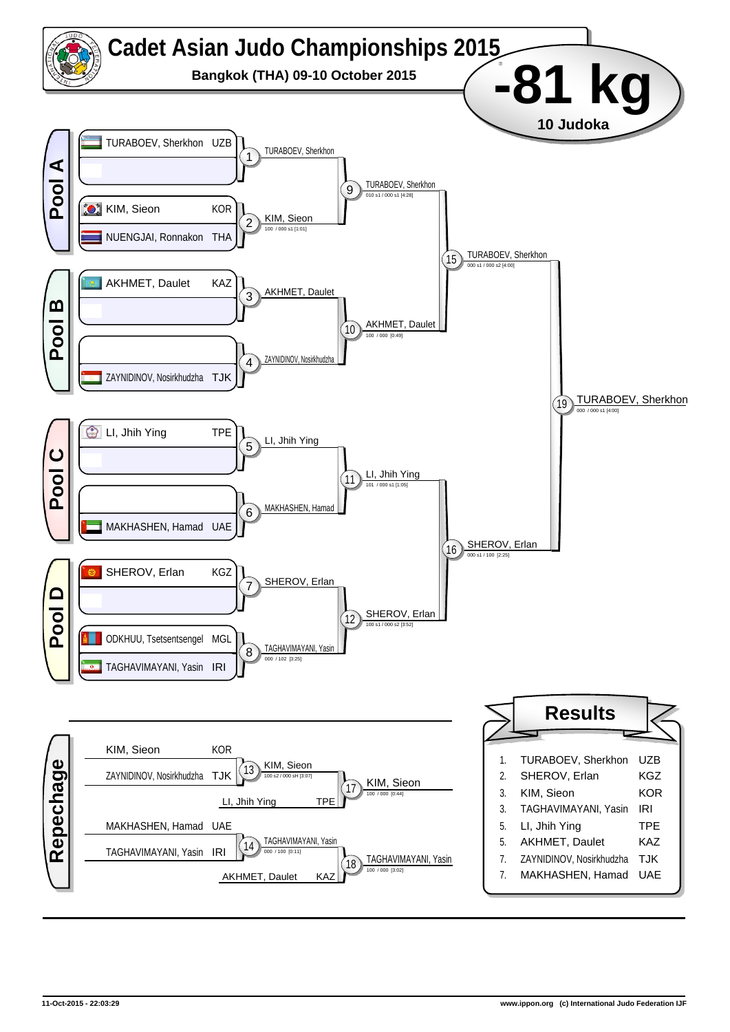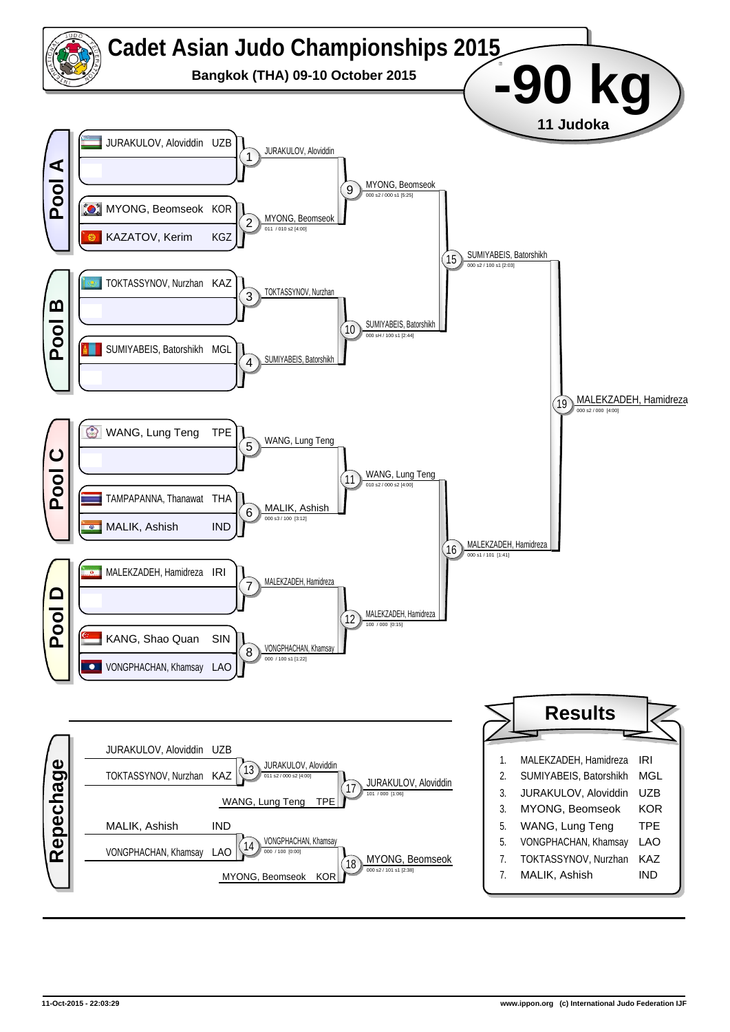